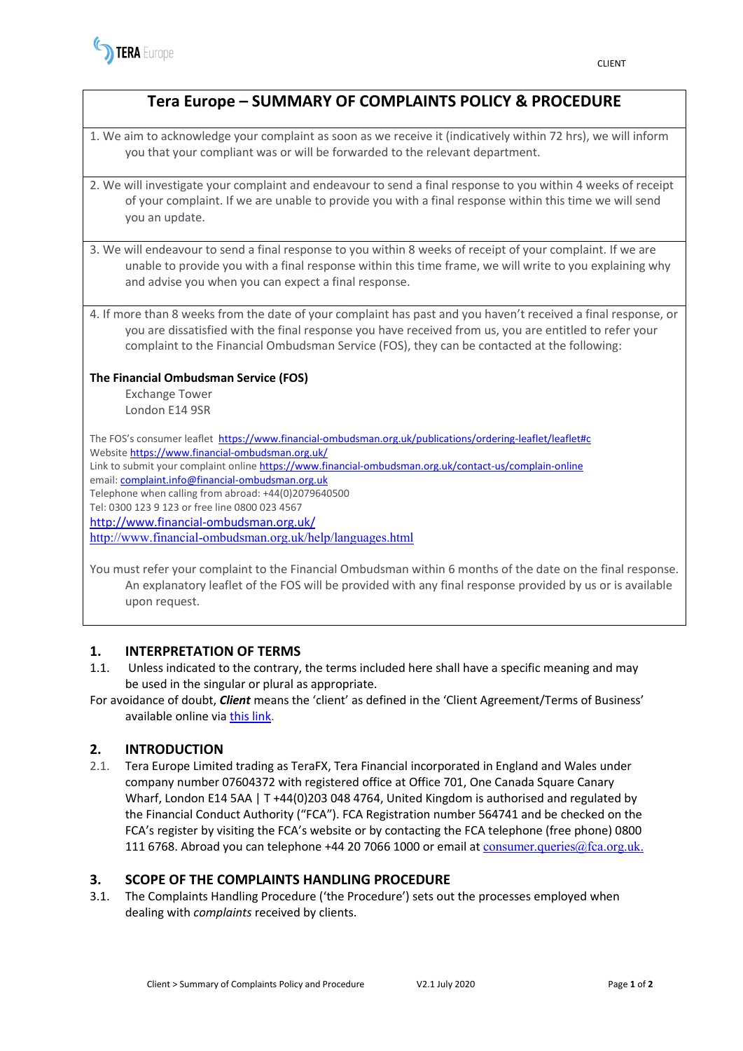

# **Tera Europe – SUMMARY OF COMPLAINTS POLICY & PROCEDURE**

1. We aim to acknowledge your complaint as soon as we receive it (indicatively within 72 hrs), we will inform you that your compliant was or will be forwarded to the relevant department.

- 2. We will investigate your complaint and endeavour to send a final response to you within 4 weeks of receipt of your complaint. If we are unable to provide you with a final response within this time we will send you an update.
- 3. We will endeavour to send a final response to you within 8 weeks of receipt of your complaint. If we are unable to provide you with a final response within this time frame, we will write to you explaining why and advise you when you can expect a final response.
- 4. If more than 8 weeks from the date of your complaint has past and you haven't received a final response, or you are dissatisfied with the final response you have received from us, you are entitled to refer your complaint to the Financial Ombudsman Service (FOS), they can be contacted at the following:

#### **The Financial Ombudsman Service (FOS)**

Exchange Tower London E14 9SR

The FOS's consumer leaflet <https://www.financial-ombudsman.org.uk/publications/ordering-leaflet/leaflet#c> Website <https://www.financial-ombudsman.org.uk/> Link to submit your complaint online<https://www.financial-ombudsman.org.uk/contact-us/complain-online> email[: complaint.info@financial-ombudsman.org.uk](mailto:complaint.info@financial-ombudsman.org.uk) Telephone when calling from abroad: +44(0)2079640500 Tel: 0300 123 9 123 or free line 0800 023 4567 <http://www.financial-ombudsman.org.uk/> <http://www.financial-ombudsman.org.uk/help/languages.html>

You must refer your complaint to the Financial Ombudsman within 6 months of the date on the final response. An explanatory leaflet of the FOS will be provided with any final response provided by us or is available upon request.

### **1. INTERPRETATION OF TERMS**

- 1.1. Unless indicated to the contrary, the terms included here shall have a specific meaning and may be used in the singular or plural as appropriate.
- For avoidance of doubt, *Client* means the 'client' as defined in the 'Client Agreement/Terms of Business' available online via [this link.](https://terafx.com/get-started/documents)

### **2. INTRODUCTION**

2.1. Tera Europe Limited trading as TeraFX, Tera Financial incorporated in England and Wales under company number 07604372 with registered office at Office 701, One Canada Square Canary Wharf, London E14 5AA | T +44(0)203 048 4764, United Kingdom is authorised and regulated by the Financial Conduct Authority ("FCA"). FCA Registration number 564741 and be checked on the FCA's register by visiting the FCA's [website](https://register.fca.org.uk/ShPo_FirmDetailsPage?id=001b000000NMTlsAAH) or by contacting the FCA telephone (free phone) 0800 111 6768. Abroad you can telephone +44 20 7066 1000 or email at [consumer.queries@fca.org.uk.](mailto:consumer.queries@fca.org.uk)

## **3. SCOPE OF THE COMPLAINTS HANDLING PROCEDURE**

3.1. The Complaints Handling Procedure ('the Procedure') sets out the processes employed when dealing with *complaints* received by clients.